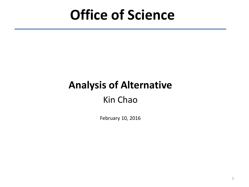# **Office of Science**

# **Analysis of Alternative**

### Kin Chao

February 10, 2016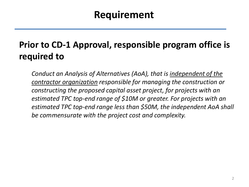### **Requirement**

### **Prior to CD-1 Approval, responsible program office is required to**

*Conduct an Analysis of Alternatives (AoA), that is independent of the contractor organization responsible for managing the construction or constructing the proposed capital asset project, for projects with an estimated TPC top-end range of \$10M or greater. For projects with an estimated TPC top-end range less than \$50M, the independent AoA shall be commensurate with the project cost and complexity.*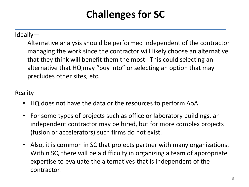## **Challenges for SC**

#### Ideally—

Alternative analysis should be performed independent of the contractor managing the work since the contractor will likely choose an alternative that they think will benefit them the most. This could selecting an alternative that HQ may "buy into" or selecting an option that may precludes other sites, etc.

#### Reality—

- HQ does not have the data or the resources to perform AoA
- For some types of projects such as office or laboratory buildings, an independent contractor may be hired, but for more complex projects (fusion or accelerators) such firms do not exist.
- Also, it is common in SC that projects partner with many organizations. Within SC, there will be a difficulty in organizing a team of appropriate expertise to evaluate the alternatives that is independent of the contractor.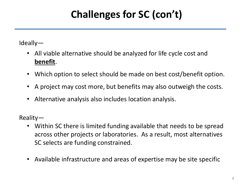## **Challenges for SC (con't)**

Ideally—

- All viable alternative should be analyzed for life cycle cost and **benefit**.
- Which option to select should be made on best cost/benefit option.
- A project may cost more, but benefits may also outweigh the costs.
- Alternative analysis also includes location analysis.

Reality—

- Within SC there is limited funding available that needs to be spread across other projects or laboratories. As a result, most alternatives SC selects are funding constrained.
- Available infrastructure and areas of expertise may be site specific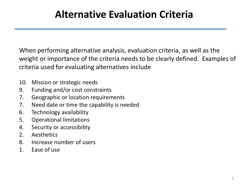## **Alternative Evaluation Criteria**

When performing alternative analysis, evaluation criteria, as well as the weight or importance of the criteria needs to be clearly defined. Examples of criteria used for evaluating alternatives include

- 10. Mission or strategic needs
- 9. Funding and/or cost constraints
- 7. Geographic or location requirements
- 7. Need date or time the capability is needed
- 6. Technology availability
- 5. Operational limitations
- 4. Security or accessibility
- 2. Aesthetics
- 8. Increase number of users
- 1. Ease of use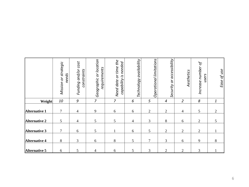|                      | Mission or strategic<br>needs | cost<br>Funding and/or<br>constraints | Geographic or location<br>requirements | Need date or time the<br>capability is needed | Technology availability | Operational limitations | or accessibility<br>Security | Aesthetics               | Increase number of<br>users | Ease of use    |
|----------------------|-------------------------------|---------------------------------------|----------------------------------------|-----------------------------------------------|-------------------------|-------------------------|------------------------------|--------------------------|-----------------------------|----------------|
| Weight               | 10                            | $\mathcal G$                          | $\overline{7}$                         | $\overline{7}$                                | 6                       | 5                       | $\overline{4}$               | $\overline{2}$           | 8                           | $\mathbf{1}$   |
| <b>Alternative 1</b> | 7                             | $\overline{4}$                        | 9                                      | 6                                             | $6\,$                   | $\overline{2}$          | $\overline{2}$               | $\overline{\mathcal{A}}$ | 5                           | $\overline{2}$ |
| <b>Alternative 2</b> | 5                             | $\overline{\mathcal{A}}$              | 5                                      | 5                                             | $\overline{4}$          | 3                       | 8                            | 6                        | $\overline{2}$              | 5              |
| <b>Alternative 3</b> | $\overline{7}$                | 6                                     | 5                                      |                                               | $6\,$                   | $\mathfrak s$           | $\overline{2}$               | $\overline{2}$           | $\overline{2}$              |                |
| Alternative 4        | 8                             | 3                                     | 6                                      | 8                                             | 5                       | $\overline{7}$          | 3                            | 6                        | 9                           | $\,8\,$        |
| <b>Alternative 5</b> | 6                             | 5                                     | $\overline{\mathcal{A}}$               | 6                                             | 5                       | 3                       | $\overline{2}$               | $\overline{2}$           | 3                           |                |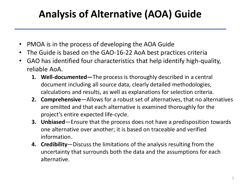## **Analysis of Alternative (AOA) Guide**

- PMOA is in the process of developing the AOA Guide
- The Guide is based on the GAO-16-22 AoA best practices criteria
- GAO has identified four characteristics that help identify high-quality, reliable AoA.
	- **1. Well-documented—**The process is thoroughly described in a central document including all source data, clearly detailed methodologies, calculations and results, as well as explanations for selection criteria.
	- **2. Comprehensive**—Allows for a robust set of alternatives, that no alternatives are omitted and that each alternative is examined thoroughly for the project's entire expected life-cycle.
	- **3. Unbiased**—Ensure that the process does not have a predisposition towards one alternative over another; it is based on traceable and verified information.
	- **4. Credibility**—Discuss the limitations of the analysis resulting from the uncertainty that surrounds both the data and the assumptions for each alternative.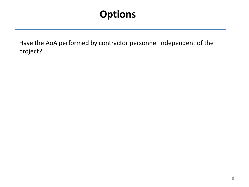## **Options**

Have the AoA performed by contractor personnel independent of the project?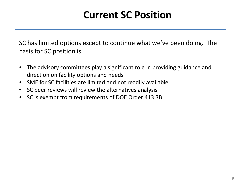## **Current SC Position**

SC has limited options except to continue what we've been doing. The basis for SC position is

- The advisory committees play a significant role in providing guidance and direction on facility options and needs
- SME for SC facilities are limited and not readily available
- SC peer reviews will review the alternatives analysis
- SC is exempt from requirements of DOE Order 413.3B